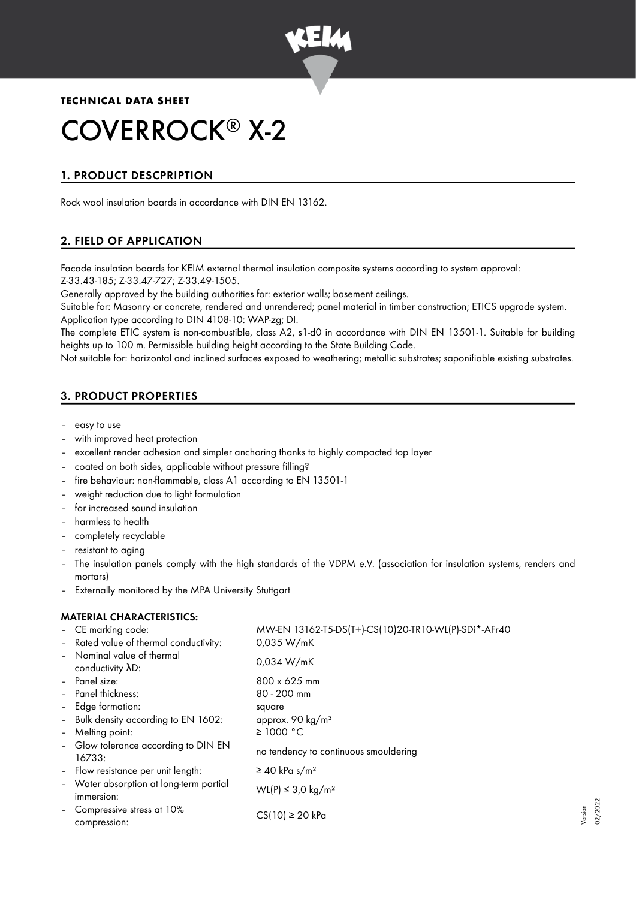

**TECHNICAL DATA SHEET**

# COVERROCK<sup>®</sup> X-2

# 1. PRODUCT DESCPRIPTION

Rock wool insulation boards in accordance with DIN EN 13162.

# 2. FIELD OF APPLICATION

Facade insulation boards for KEIM external thermal insulation composite systems according to system approval: Z-33.43-185; Z-33.47-727; Z-33.49-1505.

Generally approved by the building authorities for: exterior walls; basement ceilings.

Suitable for: Masonry or concrete, rendered and unrendered; panel material in timber construction; ETICS upgrade system. Application type according to DIN 4108-10: WAP-zg; DI.

The complete ETIC system is non-combustible, class A2, s1-d0 in accordance with DIN EN 13501-1. Suitable for building heights up to 100 m. Permissible building height according to the State Building Code.

Not suitable for: horizontal and inclined surfaces exposed to weathering; metallic substrates; saponifiable existing substrates.

# 3. PRODUCT PROPERTIES

- easy to use
- with improved heat protection
- excellent render adhesion and simpler anchoring thanks to highly compacted top layer
- coated on both sides, applicable without pressure filling?
- fire behaviour: non-flammable, class A1 according to EN 13501-1
- weight reduction due to light formulation
- for increased sound insulation
- harmless to health
- completely recyclable
- resistant to aging
- The insulation panels comply with the high standards of the VDPM e.V. (association for insulation systems, renders and mortars)
- Externally monitored by the MPA University Stuttgart

## MATERIAL CHARACTERISTICS:

|                          | - CE marking code:<br>- Rated value of thermal conductivity: | MW-EN 13162-T5-DS(T+)-CS(10)20-TR10-WL(P)-SDi*-AFr40<br>0.035 W/mK |
|--------------------------|--------------------------------------------------------------|--------------------------------------------------------------------|
|                          | - Nominal value of thermal<br>conductivity AD:               | 0.034 W/mK                                                         |
|                          | - Panel size:                                                | $800 \times 625$ mm                                                |
|                          | - Panel thickness:                                           | $80 - 200$ mm                                                      |
|                          | - Edge formation:                                            | square                                                             |
|                          | - Bulk density according to EN 1602:                         | approx. 90 kg/m <sup>3</sup>                                       |
| $\overline{\phantom{a}}$ | Melting point:                                               | $\geq$ 1000 °C                                                     |
|                          | - Glow tolerance according to DIN EN<br>16733:               | no tendency to continuous smouldering                              |
|                          | - Flow resistance per unit length:                           | $\geq$ 40 kPa s/m <sup>2</sup>                                     |
|                          | - Water absorption at long-term partial<br>immersion:        | WL(P) ≤ 3.0 kg/m <sup>2</sup>                                      |
|                          | - Compressive stress at 10%<br>compression:                  | $CS(10) \ge 20$ kPa                                                |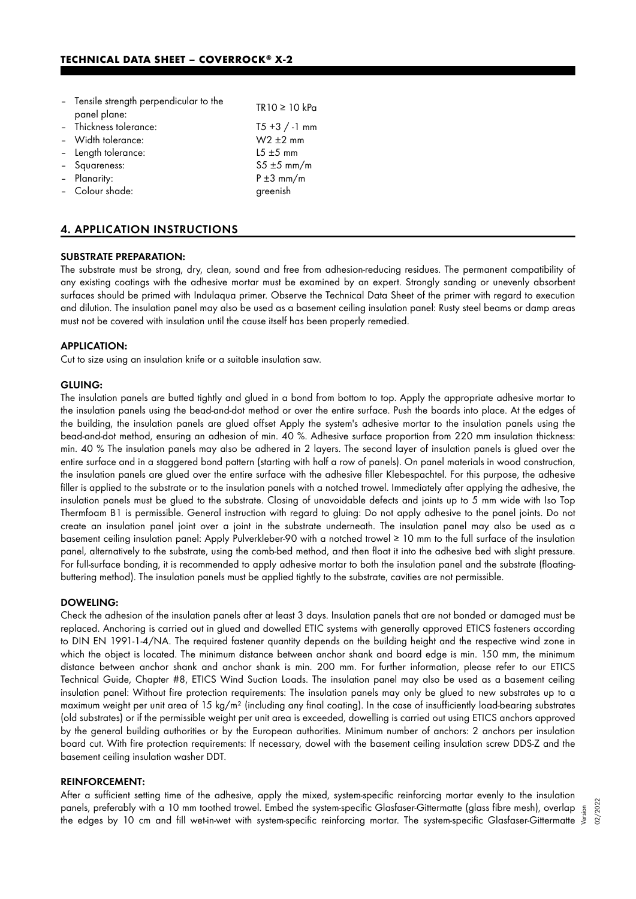| - Tensile strength perpendicular to the<br>panel plane: | TR10 ≥ 10 kPa    |
|---------------------------------------------------------|------------------|
| - Thickness tolerance:                                  | $T5 + 3 / -1$ mm |
| - Width tolerance:                                      | $W2 \pm 2$ mm    |
| - Length tolerance:                                     | $15 + 5$ mm      |
| - Squareness:                                           | $55 \pm 5$ mm/m  |
| - Planarity:                                            | $P \pm 3$ mm/m   |
| - Colour shade:                                         | greenish         |
|                                                         |                  |

## 4. APPLICATION INSTRUCTIONS

#### SUBSTRATE PREPARATION:

The substrate must be strong, dry, clean, sound and free from adhesion-reducing residues. The permanent compatibility of any existing coatings with the adhesive mortar must be examined by an expert. Strongly sanding or unevenly absorbent surfaces should be primed with Indulaqua primer. Observe the Technical Data Sheet of the primer with regard to execution and dilution. The insulation panel may also be used as a basement ceiling insulation panel: Rusty steel beams or damp areas must not be covered with insulation until the cause itself has been properly remedied.

#### APPLICATION:

Cut to size using an insulation knife or a suitable insulation saw.

#### GLUING:

The insulation panels are butted tightly and glued in a bond from bottom to top. Apply the appropriate adhesive mortar to the insulation panels using the bead-and-dot method or over the entire surface. Push the boards into place. At the edges of the building, the insulation panels are glued offset Apply the system's adhesive mortar to the insulation panels using the bead-and-dot method, ensuring an adhesion of min. 40 %. Adhesive surface proportion from 220 mm insulation thickness: min. 40 % The insulation panels may also be adhered in 2 layers. The second layer of insulation panels is glued over the entire surface and in a staggered bond pattern (starting with half a row of panels). On panel materials in wood construction, the insulation panels are glued over the entire surface with the adhesive filler Klebespachtel. For this purpose, the adhesive filler is applied to the substrate or to the insulation panels with a notched trowel. Immediately after applying the adhesive, the insulation panels must be glued to the substrate. Closing of unavoidable defects and joints up to 5 mm wide with Iso Top Thermfoam B1 is permissible. General instruction with regard to gluing: Do not apply adhesive to the panel joints. Do not create an insulation panel joint over a joint in the substrate underneath. The insulation panel may also be used as a basement ceiling insulation panel: Apply Pulverkleber-90 with a notched trowel ≥ 10 mm to the full surface of the insulation panel, alternatively to the substrate, using the comb-bed method, and then float it into the adhesive bed with slight pressure. For full-surface bonding, it is recommended to apply adhesive mortar to both the insulation panel and the substrate (floatingbuttering method). The insulation panels must be applied tightly to the substrate, cavities are not permissible.

#### DOWELING:

Check the adhesion of the insulation panels after at least 3 days. Insulation panels that are not bonded or damaged must be replaced. Anchoring is carried out in glued and dowelled ETIC systems with generally approved ETICS fasteners according to DIN EN 1991-1-4/NA. The required fastener quantity depends on the building height and the respective wind zone in which the object is located. The minimum distance between anchor shank and board edge is min. 150 mm, the minimum distance between anchor shank and anchor shank is min. 200 mm. For further information, please refer to our ETICS Technical Guide, Chapter #8, ETICS Wind Suction Loads. The insulation panel may also be used as a basement ceiling insulation panel: Without fire protection requirements: The insulation panels may only be glued to new substrates up to a maximum weight per unit area of 15 kg/m² (including any final coating). In the case of insufficiently load-bearing substrates (old substrates) or if the permissible weight per unit area is exceeded, dowelling is carried out using ETICS anchors approved by the general building authorities or by the European authorities. Minimum number of anchors: 2 anchors per insulation board cut. With fire protection requirements: If necessary, dowel with the basement ceiling insulation screw DDS-Z and the basement ceiling insulation washer DDT.

#### REINFORCEMENT:

After a sufficient setting time of the adhesive, apply the mixed, system-specific reinforcing mortar evenly to the insulation panels, preferably with a 10 mm toothed trowel. Embed the system-specific Glasfaser-Gittermatte (glass fibre mesh), overlap panels, preferably with a 10 mm toothed trowel. Embed the system-specific Glasfaser-Gittermatte (glass fibre mesh), overlap  $\frac{5}{3}$ <br>"Ine edges by 10 cm and fill wet-in-wet with system-specific reinforcing mortar. The sys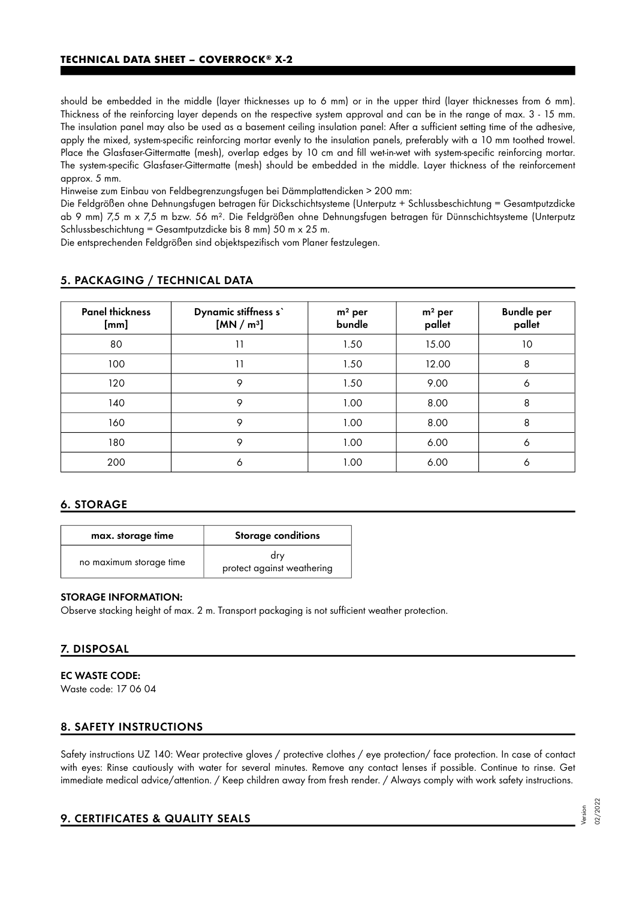should be embedded in the middle (layer thicknesses up to 6 mm) or in the upper third (layer thicknesses from 6 mm). Thickness of the reinforcing layer depends on the respective system approval and can be in the range of max. 3 - 15 mm. The insulation panel may also be used as a basement ceiling insulation panel: After a sufficient setting time of the adhesive, apply the mixed, system-specific reinforcing mortar evenly to the insulation panels, preferably with a 10 mm toothed trowel. Place the Glasfaser-Gittermatte (mesh), overlap edges by 10 cm and fill wet-in-wet with system-specific reinforcing mortar. The system-specific Glasfaser-Gittermatte (mesh) should be embedded in the middle. Layer thickness of the reinforcement approx. 5 mm.

Hinweise zum Einbau von Feldbegrenzungsfugen bei Dämmplattendicken > 200 mm:

Die Feldgrößen ohne Dehnungsfugen betragen für Dickschichtsysteme (Unterputz + Schlussbeschichtung = Gesamtputzdicke ab 9 mm) 7,5 m x 7,5 m bzw. 56 m². Die Feldgrößen ohne Dehnungsfugen betragen für Dünnschichtsysteme (Unterputz Schlussbeschichtung = Gesamtputzdicke bis 8 mm) 50 m x 25 m.

Die entsprechenden Feldgrößen sind objektspezifisch vom Planer festzulegen.

| <b>Panel thickness</b><br>[mm] | Dynamic stiffness s'<br>[MN/m <sup>3</sup> ] | $m2$ per<br>bundle | $m2$ per<br>pallet | <b>Bundle per</b><br>pallet |
|--------------------------------|----------------------------------------------|--------------------|--------------------|-----------------------------|
| 80                             | 11                                           | 1.50               | 15.00              | 10                          |
| 100                            | 11                                           | 1.50               | 12.00              | 8                           |
| 120                            | 9                                            | 1.50               | 9.00               | 6                           |
| 140                            | 9                                            | 1.00               | 8.00               | 8                           |
| 160                            | 9                                            | 1.00               | 8.00               | 8                           |
| 180                            | 9                                            | 1.00               | 6.00               | 6                           |
| 200                            | 6                                            | 1.00               | 6.00               | 6                           |

## 5. PACKAGING / TECHNICAL DATA

## 6. STORAGE

| max. storage time       | <b>Storage conditions</b>         |
|-------------------------|-----------------------------------|
| no maximum storage time | dry<br>protect against weathering |

#### STORAGE INFORMATION:

Observe stacking height of max. 2 m. Transport packaging is not sufficient weather protection.

## 7. DISPOSAL

### EC WASTE CODE:

Waste code: 17 06 04

## 8. SAFETY INSTRUCTIONS

Safety instructions UZ 140: Wear protective gloves / protective clothes / eye protection/ face protection. In case of contact with eyes: Rinse cautiously with water for several minutes. Remove any contact lenses if possible. Continue to rinse. Get immediate medical advice/attention. / Keep children away from fresh render. / Always comply with work safety instructions.

## 9. CERTIFICATES & QUALITY SEALS

Version